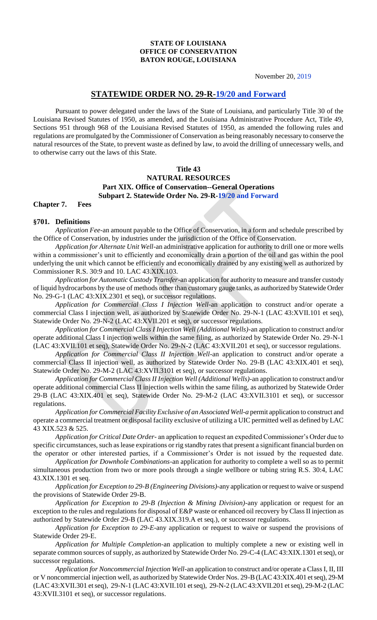#### **STATE OF LOUISIANA OFFICE OF CONSERVATION BATON ROUGE, LOUISIANA**

November 20, 2019

### **STATEWIDE ORDER NO. 29-R-19/20 and Forward**

Pursuant to power delegated under the laws of the State of Louisiana, and particularly Title 30 of the Louisiana Revised Statutes of 1950, as amended, and the Louisiana Administrative Procedure Act, Title 49, Sections 951 through 968 of the Louisiana Revised Statutes of 1950, as amended the following rules and regulations are promulgated by the Commissioner of Conservation as being reasonably necessary to conserve the natural resources of the State, to prevent waste as defined by law, to avoid the drilling of unnecessary wells, and to otherwise carry out the laws of this State.

### **Title 43 NATURAL RESOURCES Part XIX. Office of Conservation--General Operations Subpart 2. Statewide Order No. 29-R-19/20 and Forward**

#### **Chapter 7. Fees**

#### **§701. Definitions**

*Application Fee-*an amount payable to the Office of Conservation, in a form and schedule prescribed by the Office of Conservation, by industries under the jurisdiction of the Office of Conservation.

*Application for Alternate Unit Well*-an administrative application for authority to drill one or more wells within a commissioner's unit to efficiently and economically drain a portion of the oil and gas within the pool underlying the unit which cannot be efficiently and economically drained by any existing well as authorized by Commissioner R.S. 30:9 and 10. LAC 43.XIX.103.

*Application for Automatic Custody Transfer-*an application for authority to measure and transfer custody of liquid hydrocarbons by the use of methods other than customary gauge tanks, as authorized by Statewide Order No. 29-G-1 (LAC 43:XIX.2301 et seq), or successor regulations.

*Application for Commercial Class I Injection Well*-an application to construct and/or operate a commercial Class I injection well, as authorized by Statewide Order No. 29-N-1 (LAC 43:XVII.101 et seq), Statewide Order No. 29-N-2 (LAC 43:XVII.201 et seq), or successor regulations.

*Application for Commercial Class I Injection Well (Additional Wells)*-an application to construct and/or operate additional Class I injection wells within the same filing, as authorized by Statewide Order No. 29-N-1 (LAC 43:XVII.101 et seq), Statewide Order No. 29-N-2 (LAC 43:XVII.201 et seq), or successor regulations.

*Application for Commercial Class II Injection Well*-an application to construct and/or operate a commercial Class II injection well, as authorized by Statewide Order No. 29-B (LAC 43:XIX.401 et seq), Statewide Order No. 29-M-2 (LAC 43:XVII.3101 et seq), or successor regulations.

*Application for Commercial Class II Injection Well (Additional Wells)-*an application to construct and/or operate additional commercial Class II injection wells within the same filing, as authorized by Statewide Order 29-B (LAC 43:XIX.401 et seq), Statewide Order No. 29-M-2 (LAC 43:XVII.3101 et seq), or successor regulations.

*Application for Commercial Facility Exclusive of an Associated Well-a* permit application to construct and operate a commercial treatment or disposal facility exclusive of utilizing a UIC permitted well as defined by LAC 43 XIX.523 & 525.

*Application for Critical Date Order-* an application to request an expedited Commissioner's Order due to specific circumstances, such as lease expirations or rig standby rates that present a significant financial burden on the operator or other interested parties, if a Commissioner's Order is not issued by the requested date.

*Application for Downhole Combinations-*an application for authority to complete a well so as to permit simultaneous production from two or more pools through a single wellbore or tubing string R.S. 30:4, LAC 43.XIX.1301 et seq.

*Application for Exception to 29-B (Engineering Divisions)*-any application or request to waive or suspend the provisions of Statewide Order 29-B.

*Application for Exception to 29-B (Injection & Mining Division)-*any application or request for an exception to the rules and regulations for disposal of E&P waste or enhanced oil recovery by Class II injection as authorized by Statewide Order 29-B (LAC 43.XIX.319.A et seq.), or successor regulations.

*Application for Exception to 29-E*-any application or request to waive or suspend the provisions of Statewide Order 29-E.

*Application for Multiple Completion*-an application to multiply complete a new or existing well in separate common sources of supply, as authorized by Statewide Order No. 29-C-4 (LAC 43:XIX.1301 et seq), or successor regulations.

*Application for Noncommercial Injection Well*-an application to construct and/or operate a Class I, II, III or V noncommercial injection well, as authorized by Statewide Order Nos. 29-B (LAC 43:XIX.401 et seq), 29-M (LAC 43:XVII.301 et seq), 29-N-1 (LAC 43:XVII.101 et seq), 29-N-2 (LAC 43:XVII.201 et seq), 29-M-2 (LAC 43:XVII.3101 et seq), or successor regulations.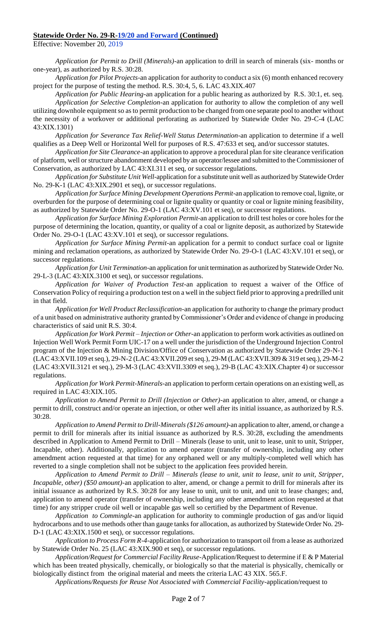Effective: November 20, 2019

*Application for Permit to Drill (Minerals)*-an application to drill in search of minerals (six- months or one-year), as authorized by R.S. 30:28.

*Application for Pilot Projects*-an application for authority to conduct a six (6) month enhanced recovery project for the purpose of testing the method. R.S. 30:4, 5, 6. LAC 43.XIX.407

*Application for Public Hearing*-an application for a public hearing as authorized by R.S. 30:1, et. seq. *Application for Selective Completion*-an application for authority to allow the completion of any well utilizing downhole equipment so as to permit production to be changed from one separate pool to another without the necessity of a workover or additional perforating as authorized by Statewide Order No. 29-C-4 (LAC 43:XIX.1301)

*Application for Severance Tax Relief-Well Status Determination*-an application to determine if a well qualifies as a Deep Well or Horizontal Well for purposes of R.S. 47:633 et seq, and/or successor statutes.

*Application for Site Clearance*-an application to approve a procedural plan for site clearance verification of platform, well or structure abandonment developed by an operator/lessee and submitted to the Commissioner of Conservation, as authorized by LAC 43:XI.311 et seq, or successor regulations.

*Application for Substitute Unit Well*-application for a substitute unit well as authorized by Statewide Order No. 29-K-1 (LAC 43:XIX.2901 et seq), or successor regulations.

*Application for Surface Mining Development Operations Permit*-an application to remove coal, lignite, or overburden for the purpose of determining coal or lignite quality or quantity or coal or lignite mining feasibility, as authorized by Statewide Order No. 29-O-1 (LAC 43:XV.101 et seq), or successor regulations.

*Application for Surface Mining Exploration Permit*-an application to drill test holes or core holes for the purpose of determining the location, quantity, or quality of a coal or lignite deposit, as authorized by Statewide Order No. 29-O-1 (LAC 43:XV.101 et seq), or successor regulations.

*Application for Surface Mining Permit*-an application for a permit to conduct surface coal or lignite mining and reclamation operations, as authorized by Statewide Order No. 29-O-1 (LAC 43:XV.101 et seq), or successor regulations.

*Application for Unit Termination*-an application for unit termination as authorized by Statewide Order No. 29-L-3 (LAC 43:XIX.3100 et seq), or successor regulations.

*Application for Waiver of Production Test*-an application to request a waiver of the Office of Conservation Policy of requiring a production test on a well in the subject field prior to approving a predrilled unit in that field.

*Application for Well Product Reclassification*-an application for authority to change the primary product of a unit based on administrative authority granted by Commissioner's Order and evidence of change in producing characteristics of said unit R.S. 30:4.

*Application for Work Permit – Injection or Other*-an application to perform work activities as outlined on Injection Well Work Permit Form UIC-17 on a well under the jurisdiction of the Underground Injection Control program of the Injection & Mining Division/Office of Conservation as authorized by Statewide Order 29-N-1 (LAC 43:XVII.109 et seq.), 29-N-2 (LAC 43:XVII.209 et seq.), 29-M (LAC 43:XVII.309 & 319 et seq.), 29-M-2 (LAC 43:XVII.3121 et seq.), 29-M-3 (LAC 43:XVII.3309 et seq.), 29-B (LAC 43:XIX.Chapter 4) or successor regulations.

*Application for Work Permit-Minerals*-an application to perform certain operations on an existing well, as required in LAC 43:XIX.105.

*Application to Amend Permit to Drill (Injection or Other)-*an application to alter, amend, or change a permit to drill, construct and/or operate an injection, or other well after its initial issuance, as authorized by R.S. 30:28.

*Application to Amend Permit to Drill-Minerals (\$126 amount)-*an application to alter, amend, or change a permit to drill for minerals after its initial issuance as authorized by R.S. 30:28, excluding the amendments described in Application to Amend Permit to Drill – Minerals (lease to unit, unit to lease, unit to unit, Stripper, Incapable, other). Additionally, application to amend operator (transfer of ownership, including any other amendment action requested at that time) for any orphaned well or any multiply-completed well which has reverted to a single completion shall not be subject to the application fees provided herein.

*Application to Amend Permit to Drill – Minerals (lease to unit, unit to lease, unit to unit, Stripper, Incapable, other) (\$50 amount)*-an application to alter, amend, or change a permit to drill for minerals after its initial issuance as authorized by R.S. 30:28 for any lease to unit, unit to unit, and unit to lease changes; and, application to amend operator (transfer of ownership, including any other amendment action requested at that time) for any stripper crude oil well or incapable gas well so certified by the Department of Revenue.

*Application to Commingle*-an application for authority to commingle production of gas and/or liquid hydrocarbons and to use methods other than gauge tanks for allocation, as authorized by Statewide Order No. 29- D-1 (LAC 43:XIX.1500 et seq), or successor regulations.

*Application to Process Form R-4-*application for authorization to transport oil from a lease as authorized by Statewide Order No. 25 (LAC 43:XIX.900 et seq), or successor regulations.

*Application/Request for Commercial Facility Reuse-*Application/Request to determine if E & P Material which has been treated physically, chemically, or biologically so that the material is physically, chemically or biologically distinct from the original material and meets the criteria LAC 43 XIX. 565.F.

*Applications/Requests for Reuse Not Associated with Commercial Facility*-application/request to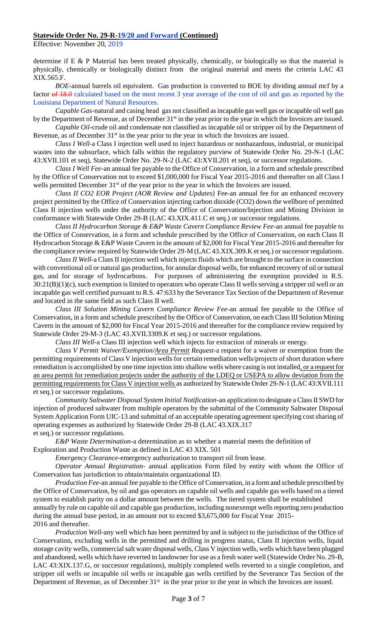Effective: November 20, 2019

determine if E & P Material has been treated physically, chemically, or biologically so that the material is physically, chemically or biologically distinct from the original material and meets the criteria LAC 43 XIX.565.F.

*BOE-*annual barrels oil equivalent. Gas production is converted to BOE by dividing annual mcf by a factor  $\theta$  18.0 calculated based on the most recent 3 year average of the cost of oil and gas as reported by the Louisiana Department of Natural Resources.

*Capable Gas*-natural and casing head gas not classified as incapable gas well gas or incapable oil well gas by the Department of Revenue, as of December 31<sup>st</sup> in the year prior to the year in which the Invoices are issued.

*Capable Oil-*crude oil and condensate not classified as incapable oil or stripper oil by the Department of Revenue, as of December 31<sup>st</sup> in the year prior to the year in which the Invoices are issued.

*Class I Well*-a Class I injection well used to inject hazardous or nonhazardous, industrial, or municipal wastes into the subsurface, which falls within the regulatory purview of Statewide Order No. 29-N-1 (LAC 43:XVII.101 et seq), Statewide Order No. 29-N-2 (LAC 43:XVII.201 et seq), or successor regulations.

*Class I Well Fee*-an annual fee payable to the Office of Conservation, in a form and schedule prescribed by the Office of Conservation not to exceed \$1,000,000 for Fiscal Year 2015-2016 and thereafter on all Class I wells permitted December 31<sup>st</sup> of the year prior to the year in which the Invoices are issued.

*Class II CO2 EOR Project (AOR Review and Updates)* Fee-an annual fee for an enhanced recovery project permitted by the Office of Conservation injecting carbon dioxide (CO2) down the wellbore of permitted Class II injection wells under the authority of the Office of Conservation/Injection and Mining Division in conformance with Statewide Order 29-B (LAC 43.XIX.411.C et seq.) or successor regulations.

*Class II Hydrocarbon Storage & E&P Waste Cavern Compliance Review Fee*-an annual fee payable to the Office of Conservation, in a form and schedule prescribed by the Office of Conservation, on each Class II Hydrocarbon Storage & E&P Waste Cavern in the amount of \$2,000 for Fiscal Year 2015-2016 and thereafter for the compliance review required by Statewide Order 29-M (LAC 43.XIX.309.K et seq.) or successor regulations.

*Class II Well-*a Class II injection well which injects fluids which are brought to the surface in connection with conventional oil or natural gas production, for annular disposal wells, for enhanced recovery of oil or natural gas, and for storage of hydrocarbons. For purposes of administering the exemption provided in R.S. 30:21(B)(1)(c), such exemption is limited to operators who operate Class II wells serving a stripper oil well or an incapable gas well certified pursuant to R.S. 47:633 by the Severance Tax Section of the Department of Revenue and located in the same field as such Class II well.

*Class III Solution Mining Cavern Compliance Review Fee*-an annual fee payable to the Office of Conservation, in a form and schedule prescribed by the Office of Conservation, on each Class III Solution Mining Cavern in the amount of \$2,000 for Fiscal Year 2015-2016 and thereafter for the compliance review required by Statewide Order 29-M-3 (LAC 43.XVII.3309.K et seq.) or successor regulations.

*Class III Well-*a Class III injection well which injects for extraction of minerals or energy.

*Class V Permit Waiver/Exemption/Area Permit Request*-a request for a waiver or exemption from the permitting requirements of Class V injection wells for certain remediation wells/projects of short duration where remediation is accomplished by one time injection into shallow wells where casing is not installed, or a request for an area permit for remediation projects under the authority of the LDEQ or USEPA to allow deviation from the permitting requirements for Class V injection wells as authorized by Statewide Order 29-N-1 (LAC 43:XVII.111 et seq.) or successor regulations.

*Community Saltwater Disposal System Initial Notification*-an application to designate a Class II SWD for injection of produced saltwater from multiple operators by the submittal of the Community Saltwater Disposal System Application Form UIC-13 and submittal of an acceptable operating agreement specifying cost sharing of operating expenses as authorized by Statewide Order 29-B (LAC 43.XIX.317

et seq.) or successor regulations.

*E&P Waste Determination*-a determination as to whether a material meets the definition of Exploration and Production Waste as defined in LAC 43 XIX. 501

*Emergency Clearance*-emergency authorization to transport oil from lease.

*Operator Annual Registration*- annual application Form filed by entity with whom the Office of Conservation has jurisdiction to obtain/maintain organizational ID.

*Production Fee*-an annual fee payable to the Office of Conservation, in a form and schedule prescribed by the Office of Conservation, by oil and gas operators on capable oil wells and capable gas wells based on a tiered system to establish parity on a dollar amount between the wells. The tiered system shall be established annually by rule on capable oil and capable gas production, including nonexempt wells reporting zero production during the annual base period, in an amount not to exceed \$3,675,000 for Fiscal Year 2015- 2016 and thereafter.

*Production Well-*any well which has been permitted by and is subject to the jurisdiction of the Office of Conservation, excluding wells in the permitted and drilling in progress status, Class II injection wells, liquid storage cavity wells, commercial salt water disposal wells, Class V injection wells, wells which have been plugged and abandoned, wells which have reverted to landowner for use as a fresh water well (Statewide Order No. 29-B, LAC 43:XIX.137.G, or successor regulations), multiply completed wells reverted to a single completion, and stripper oil wells or incapable oil wells or incapable gas wells certified by the Severance Tax Section of the Department of Revenue, as of December  $31<sup>st</sup>$  in the year prior to the year in which the Invoices are issued.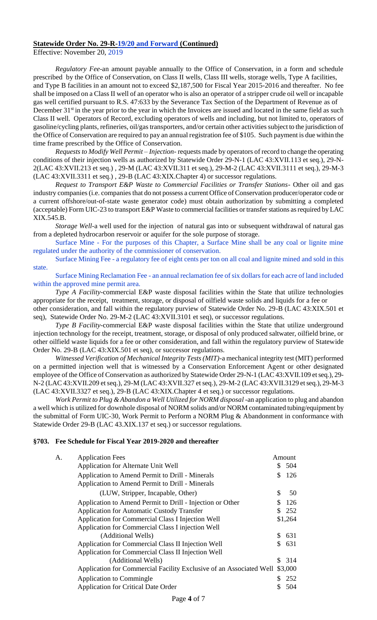Effective: November 20, 2019

*Regulatory Fee*-an amount payable annually to the Office of Conservation, in a form and schedule prescribed by the Office of Conservation, on Class II wells, Class III wells, storage wells, Type A facilities, and Type B facilities in an amount not to exceed \$2,187,500 for Fiscal Year 2015-2016 and thereafter. No fee shall be imposed on a Class II well of an operator who is also an operator of a stripper crude oil well or incapable gas well certified pursuant to R.S. 47:633 by the Severance Tax Section of the Department of Revenue as of December 31<sup>st</sup> in the year prior to the year in which the Invoices are issued and located in the same field as such Class II well. Operators of Record, excluding operators of wells and including, but not limited to, operators of gasoline/cycling plants, refineries, oil/gas transporters, and/or certain other activities subject to the jurisdiction of the Office of Conservation are required to pay an annual registration fee of \$105. Such payment is due within the time frame prescribed by the Office of Conservation.

*Requests to Modify Well Permit – Injection*- requests made by operators of record to change the operating conditions of their injection wells as authorized by Statewide Order 29-N-1 (LAC 43:XVII.113 et seq.), 29-N-2(LAC 43:XVII.213 et seq.) , 29-M (LAC 43:XVII.311 et seq.), 29-M-2 (LAC 43:XVII.3111 et seq.), 29-M-3 (LAC 43:XVII.3311 et seq.) , 29-B (LAC 43:XIX.Chapter 4) or successor regulations.

*Request to Transport E&P Waste to Commercial Facilities or Transfer Stations*- Other oil and gas industry companies (i.e. companies that do not possess a current Office of Conservation producer/operator code or a current offshore/out-of-state waste generator code) must obtain authorization by submitting a completed (acceptable) Form UIC-23 to transport E&P Waste to commercial facilities or transfer stations as required by LAC XIX.545.B.

*Storage Well-*a well used for the injection of natural gas into or subsequent withdrawal of natural gas from a depleted hydrocarbon reservoir or aquifer for the sole purpose of storage.

Surface Mine - For the purposes of this Chapter, a Surface Mine shall be any coal or lignite mine regulated under the authority of the commissioner of conservation.

Surface Mining Fee - a regulatory fee of eight cents per ton on all coal and lignite mined and sold in this state.

Surface Mining Reclamation Fee - an annual reclamation fee of six dollars for each acre of land included within the approved mine permit area.

*Type A Facility-*commercial E&P waste disposal facilities within the State that utilize technologies appropriate for the receipt, treatment, storage, or disposal of oilfield waste solids and liquids for a fee or

other consideration, and fall within the regulatory purview of Statewide Order No. 29-B (LAC 43:XIX.501 et seq), Statewide Order No. 29-M-2 (LAC 43:XVII.3101 et seq), or successor regulations.

*Type B Facility-*commercial E&P waste disposal facilities within the State that utilize underground injection technology for the receipt, treatment, storage, or disposal of only produced saltwater, oilfield brine, or other oilfield waste liquids for a fee or other consideration, and fall within the regulatory purview of Statewide Order No. 29-B (LAC 43:XIX.501 et seq), or successor regulations.

*Witnessed Verification of Mechanical Integrity Tests (MIT)*-a mechanical integrity test (MIT) performed on a permitted injection well that is witnessed by a Conservation Enforcement Agent or other designated employee of the Office of Conservation as authorized by Statewide Order 29-N-1 (LAC 43:XVII.109 et seq.), 29- N-2 (LAC 43:XVII.209 et seq.), 29-M (LAC 43:XVII.327 et seq.), 29-M-2 (LAC 43:XVII.3129 et seq.), 29-M-3 (LAC 43:XVII.3327 et seq.), 29-B (LAC 43:XIX.Chapter 4 et seq.) or successor regulations.

*Work Permit to Plug & Abandon a Well Utilized for NORM disposal* -an application to plug and abandon a well which is utilized for downhole disposal of NORM solids and/or NORM contaminated tubing/equipment by the submittal of Form UIC-30, Work Permit to Perform a NORM Plug & Abandonment in conformance with Statewide Order 29-B (LAC 43.XIX.137 et seq.) or successor regulations.

#### **§703. Fee Schedule for Fiscal Year 2019-2020 and thereafter**

|    | Amount                                                              |
|----|---------------------------------------------------------------------|
| S. | -504                                                                |
| \$ | -126                                                                |
|    |                                                                     |
| \$ | 50                                                                  |
| S. | 126                                                                 |
|    | 252                                                                 |
|    | \$1,264                                                             |
|    |                                                                     |
| S. | 631                                                                 |
|    | 631                                                                 |
|    |                                                                     |
|    | \$ 314                                                              |
|    | \$3,000                                                             |
|    | 252                                                                 |
|    | 504                                                                 |
|    | Application for Commercial Facility Exclusive of an Associated Well |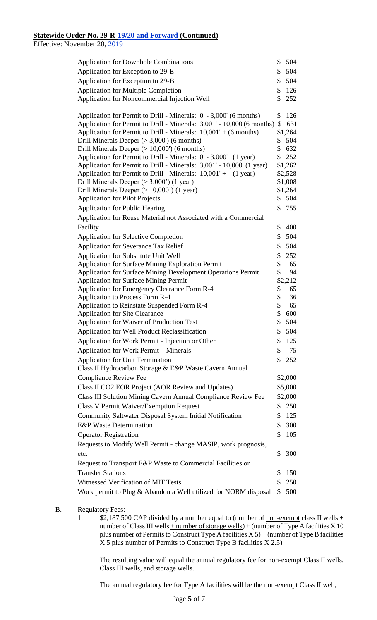Effective: November 20, 2019

| <b>Application for Downhole Combinations</b>                                                                                              | \$       | 504            |
|-------------------------------------------------------------------------------------------------------------------------------------------|----------|----------------|
| Application for Exception to 29-E                                                                                                         | \$       | 504            |
| Application for Exception to 29-B                                                                                                         | \$       | 504            |
| <b>Application for Multiple Completion</b>                                                                                                | \$       | 126            |
| Application for Noncommercial Injection Well                                                                                              | \$       | 252            |
|                                                                                                                                           |          |                |
| Application for Permit to Drill - Minerals: 0' - 3,000' (6 months)                                                                        | \$       | 126            |
| Application for Permit to Drill - Minerals: 3,001' - 10,000'(6 months)                                                                    | \$       | 631            |
| Application for Permit to Drill - Minerals: 10,001' + (6 months)                                                                          |          | \$1,264        |
| Drill Minerals Deeper ( $>$ 3,000') (6 months)                                                                                            | \$       | 504            |
| Drill Minerals Deeper $(>10,000)$ (6 months)                                                                                              | \$       | 632            |
| Application for Permit to Drill - Minerals: 0' - 3,000' (1 year)<br>Application for Permit to Drill - Minerals: 3,001' - 10,000' (1 year) | \$       | 252<br>\$1,262 |
| Application for Permit to Drill - Minerals: 10,001' + (1 year)                                                                            |          | \$2,528        |
| Drill Minerals Deeper $(>3,000)$ (1 year)                                                                                                 |          | \$1,008        |
| Drill Minerals Deeper $(>10,000)$ (1 year)                                                                                                |          | \$1,264        |
| <b>Application for Pilot Projects</b>                                                                                                     |          | \$504          |
| <b>Application for Public Hearing</b>                                                                                                     | \$       | 755            |
| Application for Reuse Material not Associated with a Commercial                                                                           |          |                |
| Facility                                                                                                                                  | \$       | 400            |
| <b>Application for Selective Completion</b>                                                                                               | \$       | 504            |
| <b>Application for Severance Tax Relief</b>                                                                                               | \$       | 504            |
| Application for Substitute Unit Well                                                                                                      | \$       | 252            |
| <b>Application for Surface Mining Exploration Permit</b>                                                                                  | \$       | 65             |
| Application for Surface Mining Development Operations Permit                                                                              | \$       | 94             |
| <b>Application for Surface Mining Permit</b>                                                                                              |          | \$2,212        |
| Application for Emergency Clearance Form R-4                                                                                              | \$       | 65             |
| Application to Process Form R-4                                                                                                           | \$       | 36             |
| Application to Reinstate Suspended Form R-4                                                                                               | \$       | 65             |
| <b>Application for Site Clearance</b><br>Application for Waiver of Production Test                                                        | \$<br>\$ | 600<br>504     |
|                                                                                                                                           |          |                |
| Application for Well Product Reclassification                                                                                             | \$       | 504            |
| Application for Work Permit - Injection or Other                                                                                          | S        | 125            |
| <b>Application for Work Permit – Minerals</b>                                                                                             | \$       | 75             |
| <b>Application for Unit Termination</b>                                                                                                   | \$       | 252            |
| Class II Hydrocarbon Storage & E&P Waste Cavern Annual                                                                                    |          |                |
| <b>Compliance Review Fee</b>                                                                                                              |          | \$2,000        |
| Class II CO2 EOR Project (AOR Review and Updates)                                                                                         |          | \$5,000        |
| Class III Solution Mining Cavern Annual Compliance Review Fee                                                                             |          | \$2,000        |
| <b>Class V Permit Waiver/Exemption Request</b>                                                                                            | \$       | 250            |
| <b>Community Saltwater Disposal System Initial Notification</b>                                                                           | \$       | 125            |
| <b>E&amp;P</b> Waste Determination                                                                                                        | \$       | 300            |
| <b>Operator Registration</b>                                                                                                              | \$       | 105            |
| Requests to Modify Well Permit - change MASIP, work prognosis,                                                                            |          |                |
| etc.                                                                                                                                      | \$       | 300            |
| Request to Transport E&P Waste to Commercial Facilities or                                                                                |          |                |
| <b>Transfer Stations</b>                                                                                                                  |          |                |
|                                                                                                                                           | \$       | 150            |
| Witnessed Verification of MIT Tests                                                                                                       | \$       | 250            |

## B. Regulatory Fees:

1. \$2,187,500 CAP divided by a number equal to (number of <u>non-exempt</u> class II wells + number of Class III wells  $+$  number of storage wells) + (number of Type A facilities X 10 plus number of Permits to Construct Type A facilities  $X 5$ ) + (number of Type B facilities X 5 plus number of Permits to Construct Type B facilities X 2.5)

The resulting value will equal the annual regulatory fee for **non-exempt** Class II wells, Class III wells, and storage wells.

The annual regulatory fee for Type A facilities will be the non-exempt Class II well,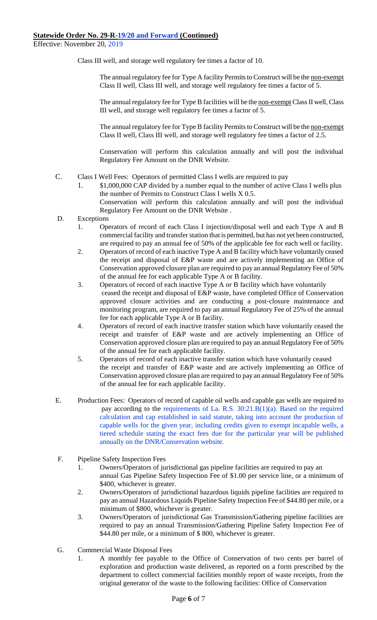Effective: November 20, 2019

Class III well, and storage well regulatory fee times a factor of 10.

The annual regulatory fee for Type A facility Permits to Construct will be the non-exempt Class II well, Class III well, and storage well regulatory fee times a factor of 5.

The annual regulatory fee for Type B facilities will be the non-exempt Class II well, Class III well, and storage well regulatory fee times a factor of 5.

The annual regulatory fee for Type B facility Permits to Construct will be the non-exempt Class II well, Class III well, and storage well regulatory fee times a factor of 2.5.

Conservation will perform this calculation annually and will post the individual Regulatory Fee Amount on the DNR Website.

- C. Class I Well Fees: Operators of permitted Class I wells are required to pay
	- 1. \$1,000,000 CAP divided by a number equal to the number of active Class I wells plus the number of Permits to Construct Class I wells X 0.5. Conservation will perform this calculation annually and will post the individual Regulatory Fee Amount on the DNR Website .
- D. Exceptions
	- 1. Operators of record of each Class I injection/disposal well and each Type A and B commercial facility and transfer station that is permitted, but has not yet been constructed, are required to pay an annual fee of 50% of the applicable fee for each well or facility.
	- 2. Operators of record of each inactive Type A and B facility which have voluntarily ceased the receipt and disposal of E&P waste and are actively implementing an Office of Conservation approved closure plan are required to pay an annual Regulatory Fee of 50% of the annual fee for each applicable Type A or B facility.
	- 3. Operators of record of each inactive Type A or B facility which have voluntarily ceased the receipt and disposal of E&P waste, have completed Office of Conservation approved closure activities and are conducting a post-closure maintenance and monitoring program, are required to pay an annual Regulatory Fee of 25% of the annual fee for each applicable Type A or B facility.
	- 4. Operators of record of each inactive transfer station which have voluntarily ceased the receipt and transfer of E&P waste and are actively implementing an Office of Conservation approved closure plan are required to pay an annual Regulatory Fee of 50% of the annual fee for each applicable facility.
	- 5. Operators of record of each inactive transfer station which have voluntarily ceased the receipt and transfer of E&P waste and are actively implementing an Office of Conservation approved closure plan are required to pay an annual Regulatory Fee of 50% of the annual fee for each applicable facility.
- E. Production Fees: Operators of record of capable oil wells and capable gas wells are required to pay according to the requirements of La. R.S. 30:21.B(1)(a). Based on the required calculation and cap established in said statute, taking into account the production of capable wells for the given year, including credits given to exempt incapable wells, a tiered schedule stating the exact fees due for the particular year will be published annually on the DNR/Conservation website.
- F. Pipeline Safety Inspection Fees
	- 1. Owners/Operators of jurisdictional gas pipeline facilities are required to pay an annual Gas Pipeline Safety Inspection Fee of \$1.00 per service line, or a minimum of \$400, whichever is greater.
	- 2. Owners/Operators of jurisdictional hazardous liquids pipeline facilities are required to pay an annual Hazardous Liquids Pipeline Safety Inspection Fee of \$44.80 per mile, or a minimum of \$800, whichever is greater.
	- 3. Owners/Operators of jurisdictional Gas Transmission/Gathering pipeline facilities are required to pay an annual Transmission/Gathering Pipeline Safety Inspection Fee of \$44.80 per mile, or a minimum of \$800, whichever is greater.
- G. Commercial Waste Disposal Fees
	- 1. A monthly fee payable to the Office of Conservation of two cents per barrel of exploration and production waste delivered, as reported on a form prescribed by the department to collect commercial facilities monthly report of waste receipts, from the original generator of the waste to the following facilities: Office of Conservation